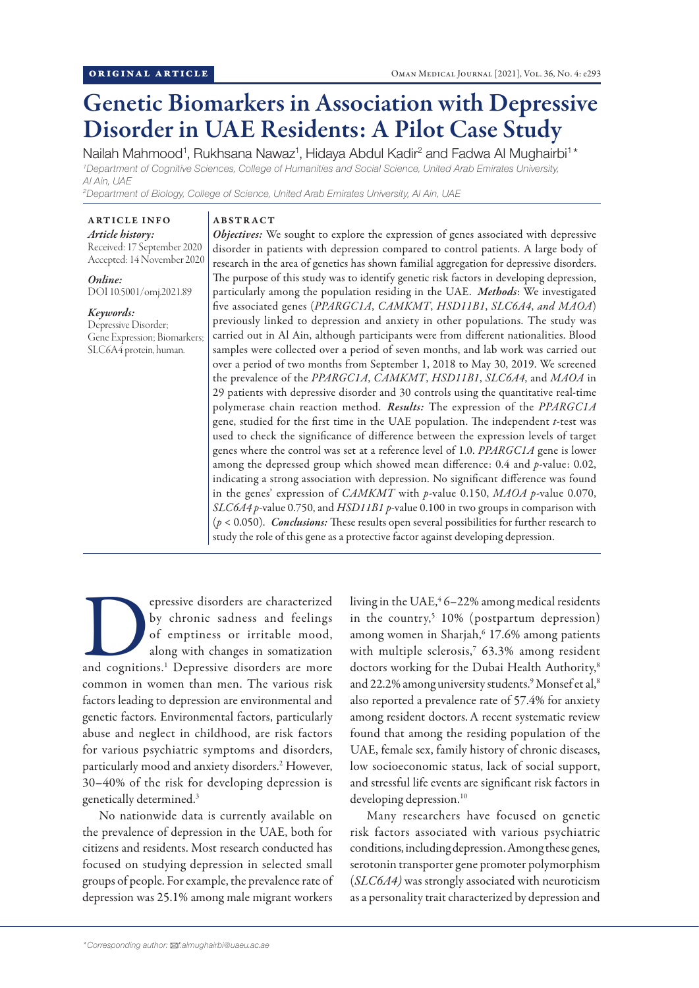# Genetic Biomarkers in Association with Depressive Disorder in UAE Residents: A Pilot Case Study

Nailah Mahmood<sup>1</sup>, Rukhsana Nawaz<sup>1</sup>, Hidaya Abdul Kadir<sup>2</sup> and Fadwa Al Mughairbi<sup>1\*</sup> *1 Department of Cognitive Sciences, College of Humanities and Social Science, United Arab Emirates University, Al Ain, UAE*

*2 Department of Biology, College of Science, United Arab Emirates University, Al Ain, UAE*

#### ARTICLE INFO *Article history:*

Received: 17 September 2020 Accepted: 14 November 2020

*Online:* DOI 10.5001/omj.2021.89

# *Keywords:*

Depressive Disorder; Gene Expression; Biomarkers; SLC6A4 protein, human.

## ABSTRACT

*Objectives:* We sought to explore the expression of genes associated with depressive disorder in patients with depression compared to control patients. A large body of research in the area of genetics has shown familial aggregation for depressive disorders. The purpose of this study was to identify genetic risk factors in developing depression, particularly among the population residing in the UAE. *Methods*: We investigated five associated genes (*PPARGC1A*, *CAMKMT*, *HSD11B1*, *SLC6A4*, *and MAOA*) previously linked to depression and anxiety in other populations. The study was carried out in Al Ain, although participants were from different nationalities. Blood samples were collected over a period of seven months, and lab work was carried out over a period of two months from September 1, 2018 to May 30, 2019. We screened the prevalence of the *PPARGC1A*, *CAMKMT*, *HSD11B1*, *SLC6A4*, and *MAOA* in 29 patients with depressive disorder and 30 controls using the quantitative real-time polymerase chain reaction method. *Results:* The expression of the *PPARGC1A* gene, studied for the first time in the UAE population. The independent *t*-test was used to check the significance of difference between the expression levels of target genes where the control was set at a reference level of 1.0. *PPARGC1A* gene is lower among the depressed group which showed mean difference: 0.4 and *p*-value: 0.02, indicating a strong association with depression. No significant difference was found in the genes' expression of *CAMKMT* with *p*-value 0.150, *MAOA p*-value 0.070, *SLC6A4 p*-value 0.750, and *HSD11B1 p*-value 0.100 in two groups in comparison with (*p* < 0.050). *Conclusions:* These results open several possibilities for further research to study the role of this gene as a protective factor against developing depression.

epressive disorders are characterized<br>by chronic sadness and feelings<br>of emptiness or irritable mood,<br>along with changes in somatization<br>and cognitions.<sup>1</sup> Depressive disorders are more by chronic sadness and feelings of emptiness or irritable mood, along with changes in somatization common in women than men. The various risk factors leading to depression are environmental and genetic factors. Environmental factors, particularly abuse and neglect in childhood, are risk factors for various psychiatric symptoms and disorders, particularly mood and anxiety disorders.<sup>2</sup> However, 30–40% of the risk for developing depression is genetically determined.3

No nationwide data is currently available on the prevalence of depression in the UAE, both for citizens and residents. Most research conducted has focused on studying depression in selected small groups of people. For example, the prevalence rate of depression was 25.1% among male migrant workers

living in the UAE,<sup>4</sup> 6–22% among medical residents in the country,<sup>5</sup> 10% (postpartum depression) among women in Sharjah,<sup>6</sup> 17.6% among patients with multiple sclerosis,7 63.3% among resident doctors working for the Dubai Health Authority,<sup>8</sup> and 22.2% among university students.<sup>9</sup> Monsef et al,<sup>8</sup> also reported a prevalence rate of 57.4% for anxiety among resident doctors.A recent systematic review found that among the residing population of the UAE, female sex, family history of chronic diseases, low socioeconomic status, lack of social support, and stressful life events are significant risk factors in developing depression.<sup>10</sup>

Many researchers have focused on genetic risk factors associated with various psychiatric conditions, including depression. Among these genes, serotonin transporter gene promoter polymorphism (*SLC6A4)* was strongly associated with neuroticism as a personality trait characterized by depression and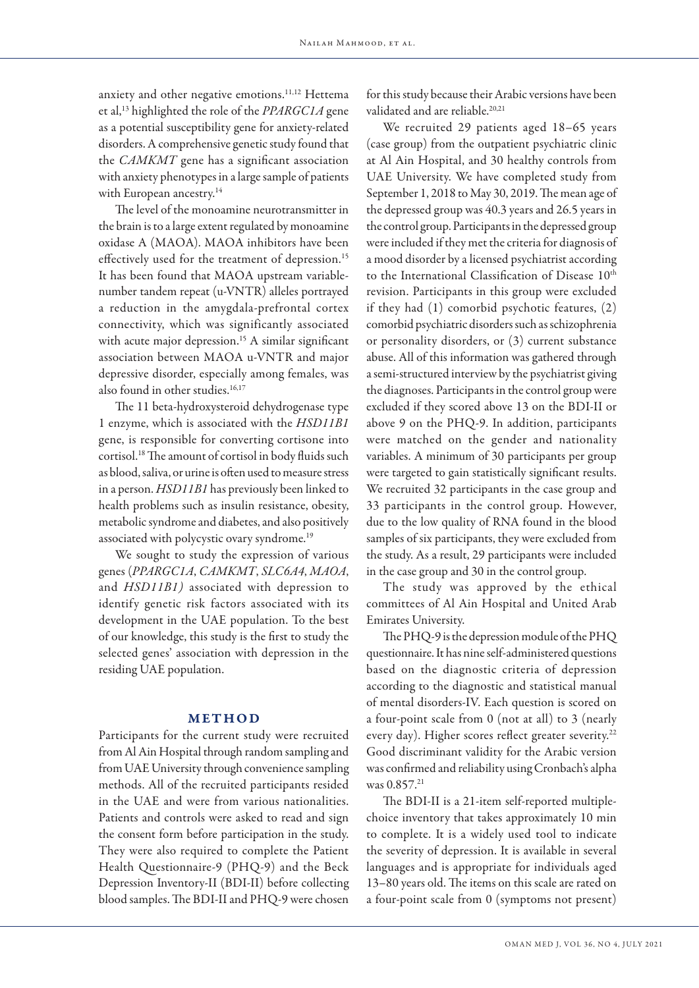anxiety and other negative emotions.<sup>11,12</sup> Hettema et al,13 highlighted the role of the *PPARGC1A* gene as a potential susceptibility gene for anxiety-related disorders. A comprehensive genetic study found that the *CAMKMT* gene has a significant association with anxiety phenotypes in a large sample of patients with European ancestry.<sup>14</sup>

The level of the monoamine neurotransmitter in the brain is to a large extent regulated by monoamine oxidase A (MAOA). MAOA inhibitors have been effectively used for the treatment of depression.<sup>15</sup> It has been found that MAOA upstream variablenumber tandem repeat (u-VNTR) alleles portrayed a reduction in the amygdala-prefrontal cortex connectivity, which was significantly associated with acute major depression.<sup>15</sup> A similar significant association between MAOA u-VNTR and major depressive disorder, especially among females, was also found in other studies.<sup>16,17</sup>

The 11 beta-hydroxysteroid dehydrogenase type 1 enzyme, which is associated with the *HSD11B1* gene, is responsible for converting cortisone into cortisol.18 The amount of cortisol in body fluids such as blood, saliva, or urine is often used to measure stress in a person. *HSD11B1* has previously been linked to health problems such as insulin resistance, obesity, metabolic syndrome and diabetes, and also positively associated with polycystic ovary syndrome.19

We sought to study the expression of various genes (*PPARGC1A*, *CAMKMT*, *SLC6A4*, *MAOA*, and *HSD11B1)* associated with depression to identify genetic risk factors associated with its development in the UAE population. To the best of our knowledge, this study is the first to study the selected genes' association with depression in the residing UAE population.

#### METHOD

Participants for the current study were recruited from Al Ain Hospital through random sampling and from UAE University through convenience sampling methods. All of the recruited participants resided in the UAE and were from various nationalities. Patients and controls were asked to read and sign the consent form before participation in the study. They were also required to complete the Patient Health Questionnaire-9 (PHQ-9) and the Beck Depression Inventory-II (BDI-II) before collecting blood samples. The BDI-II and PHQ-9 were chosen

for this study because their Arabic versions have been validated and are reliable.<sup>20,21</sup>

We recruited 29 patients aged 18–65 years (case group) from the outpatient psychiatric clinic at Al Ain Hospital, and 30 healthy controls from UAE University. We have completed study from September 1, 2018 to May 30, 2019. The mean age of the depressed group was 40.3 years and 26.5 years in the control group. Participants in the depressed group were included if they met the criteria for diagnosis of a mood disorder by a licensed psychiatrist according to the International Classification of Disease 10<sup>th</sup> revision. Participants in this group were excluded if they had (1) comorbid psychotic features, (2) comorbid psychiatric disorders such as schizophrenia or personality disorders, or (3) current substance abuse. All of this information was gathered through a semi-structured interview by the psychiatrist giving the diagnoses. Participants in the control group were excluded if they scored above 13 on the BDI-II or above 9 on the PHQ-9. In addition, participants were matched on the gender and nationality variables. A minimum of 30 participants per group were targeted to gain statistically significant results. We recruited 32 participants in the case group and 33 participants in the control group. However, due to the low quality of RNA found in the blood samples of six participants, they were excluded from the study. As a result, 29 participants were included in the case group and 30 in the control group.

The study was approved by the ethical committees of Al Ain Hospital and United Arab Emirates University.

The PHQ-9 is the depression module of the PHQ questionnaire. It has nine self-administered questions based on the diagnostic criteria of depression according to the diagnostic and statistical manual of mental disorders-IV. Each question is scored on a four-point scale from 0 (not at all) to 3 (nearly every day). Higher scores reflect greater severity.<sup>22</sup> Good discriminant validity for the Arabic version was confirmed and reliability using Cronbach's alpha was 0.857.<sup>21</sup>

The BDI-II is a 21-item self-reported multiplechoice inventory that takes approximately 10 min to complete. It is a widely used tool to indicate the severity of depression. It is available in several languages and is appropriate for individuals aged 13–80 years old. The items on this scale are rated on a four-point scale from 0 (symptoms not present)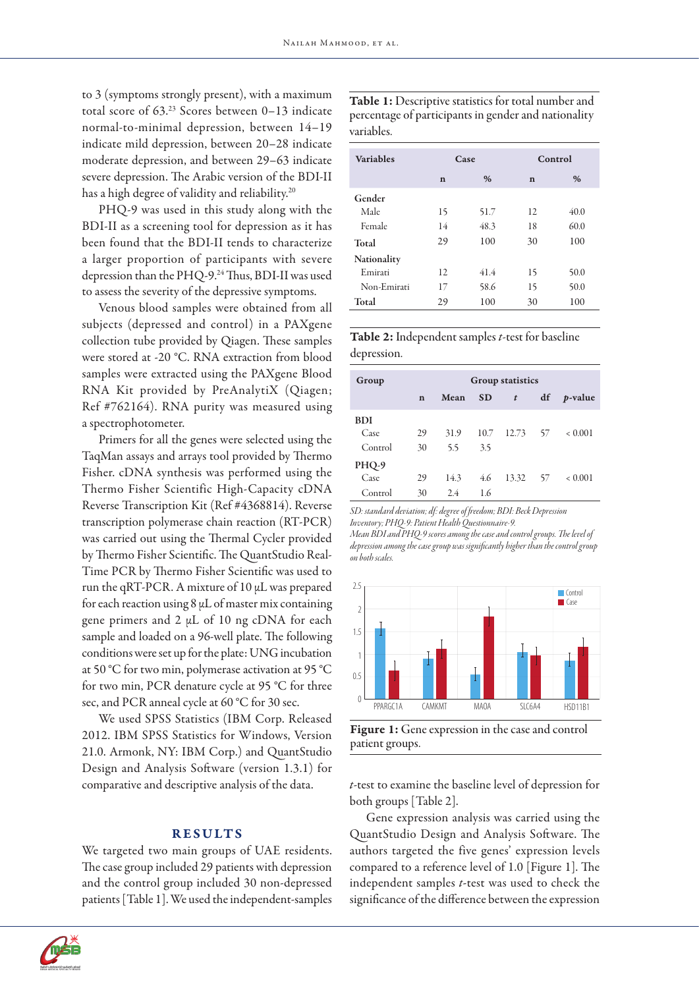to 3 (symptoms strongly present), with a maximum total score of 63.23 Scores between 0–13 indicate normal-to-minimal depression, between 14–19 indicate mild depression, between 20–28 indicate moderate depression, and between 29–63 indicate severe depression. The Arabic version of the BDI-II has a high degree of validity and reliability.20

PHQ-9 was used in this study along with the BDI-II as a screening tool for depression as it has been found that the BDI-II tends to characterize a larger proportion of participants with severe depression than the PHQ-9.<sup>24</sup> Thus, BDI-II was used to assess the severity of the depressive symptoms.

Venous blood samples were obtained from all subjects (depressed and control) in a PAXgene collection tube provided by Qiagen. These samples were stored at -20 °C. RNA extraction from blood samples were extracted using the PAXgene Blood RNA Kit provided by PreAnalytiX (Qiagen; Ref #762164). RNA purity was measured using a spectrophotometer.

Primers for all the genes were selected using the TaqMan assays and arrays tool provided by Thermo Fisher. cDNA synthesis was performed using the Thermo Fisher Scientific High-Capacity cDNA Reverse Transcription Kit (Ref #4368814). Reverse transcription polymerase chain reaction (RT-PCR) was carried out using the Thermal Cycler provided by Thermo Fisher Scientific. The QuantStudio Real-Time PCR by Thermo Fisher Scientific was used to run the qRT-PCR. A mixture of 10 μL was prepared for each reaction using  $8 \mu$ L of master mix containing gene primers and 2 μL of 10 ng cDNA for each sample and loaded on a 96-well plate. The following conditions were set up for the plate: UNG incubation at 50 °C for two min, polymerase activation at 95 °C for two min, PCR denature cycle at 95 °C for three sec, and PCR anneal cycle at 60 °C for 30 sec.

We used SPSS Statistics (IBM Corp. Released 2012. IBM SPSS Statistics for Windows, Version 21.0. Armonk, NY: IBM Corp.) and QuantStudio Design and Analysis Software (version 1.3.1) for comparative and descriptive analysis of the data.

#### **RESULTS**

We targeted two main groups of UAE residents. The case group included 29 patients with depression and the control group included 30 non-depressed patients [Table 1]. We used the independent-samples



| <b>Variables</b>   |             | Case | Control     |      |  |  |
|--------------------|-------------|------|-------------|------|--|--|
|                    |             |      |             |      |  |  |
|                    | $\mathbf n$ | %    | $\mathbf n$ | %    |  |  |
| Gender             |             |      |             |      |  |  |
| Male               | 15          | 51.7 | 12          | 40.0 |  |  |
| Female             | 14          | 48.3 | 18          | 60.0 |  |  |
| Total              | 29          | 100  | 30          | 100  |  |  |
| <b>Nationality</b> |             |      |             |      |  |  |
| Emirati            | 12          | 41.4 | 15          | 50.0 |  |  |
| Non-Emirati        | 17          | 58.6 | 15          | 50.0 |  |  |
| Total              | 29          | 100  | 30          | 100  |  |  |

Table 2: Independent samples *t*-test for baseline depression.

| Group      |             | <b>Group statistics</b> |           |                  |     |                 |  |  |  |
|------------|-------------|-------------------------|-----------|------------------|-----|-----------------|--|--|--|
|            | $\mathbf n$ | Mean                    | <b>SD</b> | $\boldsymbol{t}$ | df  | <i>p</i> -value |  |  |  |
| <b>BDI</b> |             |                         |           |                  |     |                 |  |  |  |
| Case       | 29          | 31.9                    | 10.7      | 12.73 57         |     | < 0.001         |  |  |  |
| Control    | 30          | 5.5                     | 3.5       |                  |     |                 |  |  |  |
| PHQ-9      |             |                         |           |                  |     |                 |  |  |  |
| Case       | 29          | 14.3                    | 4.6       | 13.32            | -57 | < 0.001         |  |  |  |
| Control    | 30          | 2.4                     | 1.6       |                  |     |                 |  |  |  |

*SD: standard deviation; df: degree of freedom; BDI: Beck Depression Inventory; PHQ-9: Patient Health Questionnaire-9.* 

*Mean BDI and PHQ-9 scores among the case and control groups. The level of depression among the case group was significantly higher than the control group on both scales.*



Figure 1: Gene expression in the case and control patient groups.

*t*-test to examine the baseline level of depression for both groups [Table 2].

Gene expression analysis was carried using the QuantStudio Design and Analysis Software. The authors targeted the five genes' expression levels compared to a reference level of 1.0 [Figure 1]. The independent samples *t-*test was used to check the significance of the difference between the expression

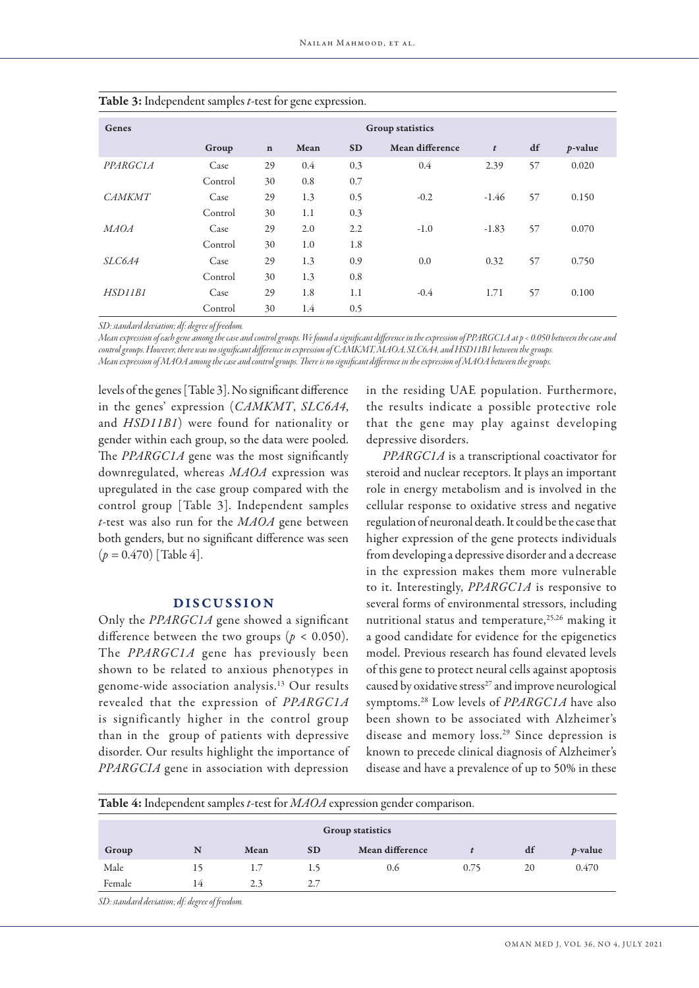| Genes         | <b>Group statistics</b> |             |      |           |                 |                  |    |                 |
|---------------|-------------------------|-------------|------|-----------|-----------------|------------------|----|-----------------|
|               | Group                   | $\mathbf n$ | Mean | <b>SD</b> | Mean difference | $\boldsymbol{t}$ | df | <i>p</i> -value |
| PPARGCIA      | Case                    | 29          | 0.4  | 0.3       | 0.4             | 2.39             | 57 | 0.020           |
|               | Control                 | 30          | 0.8  | 0.7       |                 |                  |    |                 |
| <b>CAMKMT</b> | Case                    | 29          | 1.3  | 0.5       | $-0.2$          | $-1.46$          | 57 | 0.150           |
|               | Control                 | 30          | 1.1  | 0.3       |                 |                  |    |                 |
| <b>MAOA</b>   | Case                    | 29          | 2.0  | 2.2       | $-1.0$          | $-1.83$          | 57 | 0.070           |
|               | Control                 | 30          | 1.0  | 1.8       |                 |                  |    |                 |
| <i>SLC6A4</i> | Case                    | 29          | 1.3  | 0.9       | 0.0             | 0.32             | 57 | 0.750           |
|               | Control                 | 30          | 1.3  | 0.8       |                 |                  |    |                 |
| HSD11B1       | Case                    | 29          | 1.8  | 1.1       | $-0.4$          | 1.71             | 57 | 0.100           |
|               | Control                 | 30          | 1.4  | 0.5       |                 |                  |    |                 |

Table 3: Independent samples *t*-test for gene expression.

*SD: standard deviation; df: degree of freedom.* 

*Mean expression of each gene among the case and control groups. We found a significant difference in the expression of PPARGC1A at p < 0.050 between the case and control groups. However, there was no significant difference in expression of CAMKMT, MAOA, SLC6A4, and HSD11B1 between the groups. Mean expression of MAOA among the case and control groups. There is no significant difference in the expression of MAOA between the groups.*

levels of the genes [Table 3]. No significant difference in the genes' expression (*CAMKMT*, *SLC6A4*, and *HSD11B1*) were found for nationality or gender within each group, so the data were pooled. The *PPARGC1A* gene was the most significantly downregulated, whereas *MAOA* expression was upregulated in the case group compared with the control group [Table 3]. Independent samples *t*-test was also run for the *MAOA* gene between both genders, but no significant difference was seen  $(p = 0.470)$  [Table 4].

## DISCUSSION

Only the *PPARGC1A* gene showed a significant difference between the two groups ( $p < 0.050$ ). The *PPARGC1A* gene has previously been shown to be related to anxious phenotypes in genome-wide association analysis.13 Our results revealed that the expression of *PPARGC1A* is significantly higher in the control group than in the group of patients with depressive disorder. Our results highlight the importance of *PPARGCIA* gene in association with depression

in the residing UAE population. Furthermore, the results indicate a possible protective role that the gene may play against developing depressive disorders.

*PPARGC1A* is a transcriptional coactivator for steroid and nuclear receptors. It plays an important role in energy metabolism and is involved in the cellular response to oxidative stress and negative regulation of neuronal death. It could be the case that higher expression of the gene protects individuals from developing a depressive disorder and a decrease in the expression makes them more vulnerable to it. Interestingly, *PPARGC1A* is responsive to several forms of environmental stressors, including nutritional status and temperature,<sup>25,26</sup> making it a good candidate for evidence for the epigenetics model. Previous research has found elevated levels of this gene to protect neural cells against apoptosis caused by oxidative stress<sup>27</sup> and improve neurological symptoms.28 Low levels of *PPARGC1A* have also been shown to be associated with Alzheimer's disease and memory loss.29 Since depression is known to precede clinical diagnosis of Alzheimer's disease and have a prevalence of up to 50% in these

Table 4: Independent samples *t*-test for *MAOA* expression gender comparison.

| <b>Group statistics</b> |    |      |           |                 |      |    |                 |  |  |
|-------------------------|----|------|-----------|-----------------|------|----|-----------------|--|--|
| Group                   | N  | Mean | <b>SD</b> | Mean difference |      | df | <i>p</i> -value |  |  |
| Male                    | 15 | 1.7  | 1.5       | 0.6             | 0.75 | 20 | 0.470           |  |  |
| Female                  | 14 | 2.3  | 2.7       |                 |      |    |                 |  |  |

*SD: standard deviation; df: degree of freedom.*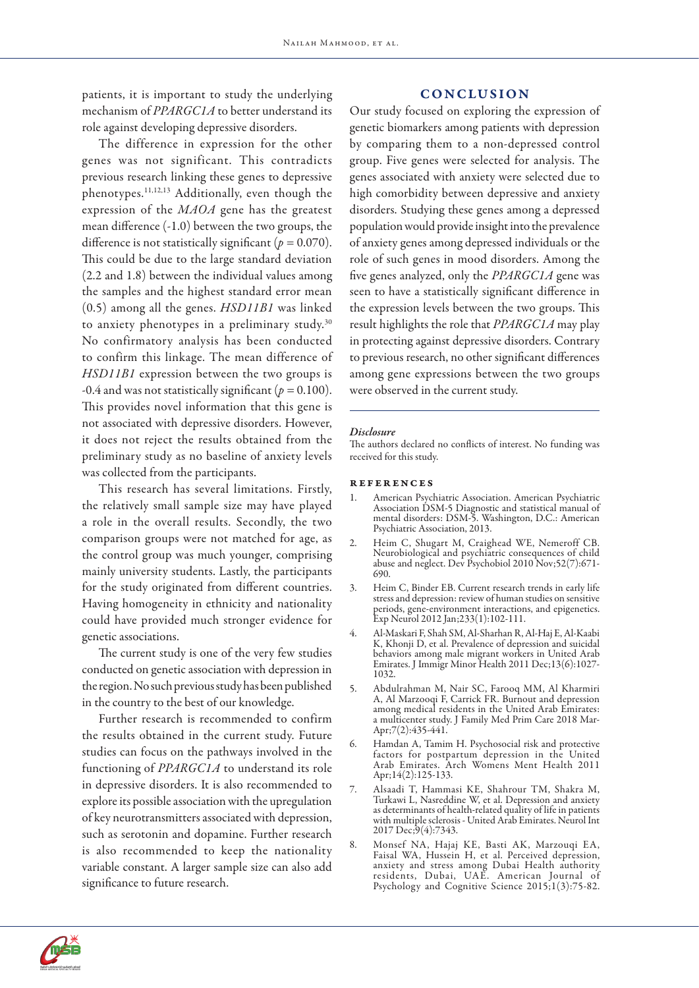patients, it is important to study the underlying mechanism of *PPARGC1A* to better understand its role against developing depressive disorders.

The difference in expression for the other genes was not significant. This contradicts previous research linking these genes to depressive phenotypes.11,12,13 Additionally, even though the expression of the *MAOA* gene has the greatest mean difference (-1.0) between the two groups, the difference is not statistically significant ( $p = 0.070$ ). This could be due to the large standard deviation (2.2 and 1.8) between the individual values among the samples and the highest standard error mean (0.5) among all the genes. *HSD11B1* was linked to anxiety phenotypes in a preliminary study.<sup>30</sup> No confirmatory analysis has been conducted to confirm this linkage. The mean difference of *HSD11B1* expression between the two groups is -0.4 and was not statistically significant (*p =* 0.100). This provides novel information that this gene is not associated with depressive disorders. However, it does not reject the results obtained from the preliminary study as no baseline of anxiety levels was collected from the participants.

This research has several limitations. Firstly, the relatively small sample size may have played a role in the overall results. Secondly, the two comparison groups were not matched for age, as the control group was much younger, comprising mainly university students. Lastly, the participants for the study originated from different countries. Having homogeneity in ethnicity and nationality could have provided much stronger evidence for genetic associations.

The current study is one of the very few studies conducted on genetic association with depression in the region. No such previous study has been published in the country to the best of our knowledge.

Further research is recommended to confirm the results obtained in the current study. Future studies can focus on the pathways involved in the functioning of *PPARGC1A* to understand its role in depressive disorders. It is also recommended to explore its possible association with the upregulation of key neurotransmitters associated with depression, such as serotonin and dopamine. Further research is also recommended to keep the nationality variable constant. A larger sample size can also add significance to future research.

## CONCLUSION

Our study focused on exploring the expression of genetic biomarkers among patients with depression by comparing them to a non-depressed control group. Five genes were selected for analysis. The genes associated with anxiety were selected due to high comorbidity between depressive and anxiety disorders. Studying these genes among a depressed population would provide insight into the prevalence of anxiety genes among depressed individuals or the role of such genes in mood disorders. Among the five genes analyzed, only the *PPARGC1A* gene was seen to have a statistically significant difference in the expression levels between the two groups. This result highlights the role that *PPARGC1A* may play in protecting against depressive disorders. Contrary to previous research, no other significant differences among gene expressions between the two groups were observed in the current study.

#### *Disclosure*

The authors declared no conflicts of interest. No funding was received for this study.

#### references

- 1. American Psychiatric Association. American Psychiatric Association DSM-5 Diagnostic and statistical manual of mental disorders: DSM-5. Washington, D.C.: American Psychiatric Association, 2013.
- 2. Heim C, Shugart M, Craighead WE, Nemeroff CB. Neurobiological and psychiatric consequences of child abuse and neglect. Dev Psychobiol 2010 Nov;52(7):671- 690.
- 3. Heim C, Binder EB. Current research trends in early life stress and depression: review of human studies on sensitive periods, gene-environment interactions, and epigenetics. Exp Neurol 2012 Jan;233(1):102-111.
- 4. Al-Maskari F, Shah SM, Al-Sharhan R, Al-Haj E, Al-Kaabi K, Khonji D, et al. Prevalence of depression and suicidal behaviors among male migrant workers in United Arab Emirates. J Immigr Minor Health 2011 Dec;13(6):1027- 1032.
- 5. Abdulrahman M, Nair SC, Farooq MM, Al Kharmiri A, Al Marzooqi F, Carrick FR. Burnout and depression among medical residents in the United Arab Emirates: a multicenter study. J Family Med Prim Care 2018 Mar-Apr;7(2):435-441.
- 6. Hamdan A, Tamim H. Psychosocial risk and protective factors for postpartum depression in the United Arab Emirates. Arch Womens Ment Health 2011 Apr;14(2):125-133.
- 7. Alsaadi T, Hammasi KE, Shahrour TM, Shakra M, as determinants of health-related quality of life in patients with multiple sclerosis - United Arab Emirates. Neurol Int 2017 Dec;9(4):7343.
- 8. Monsef NA, Hajaj KE, Basti AK, Marzouqi EA, Faisal WA, Hussein H, et al. Perceived depression, anxiety and stress among Dubai Health authority residents, Dubai, UAE. American Journal of Psychology and Cognitive Science 2015;1(3):75-82.